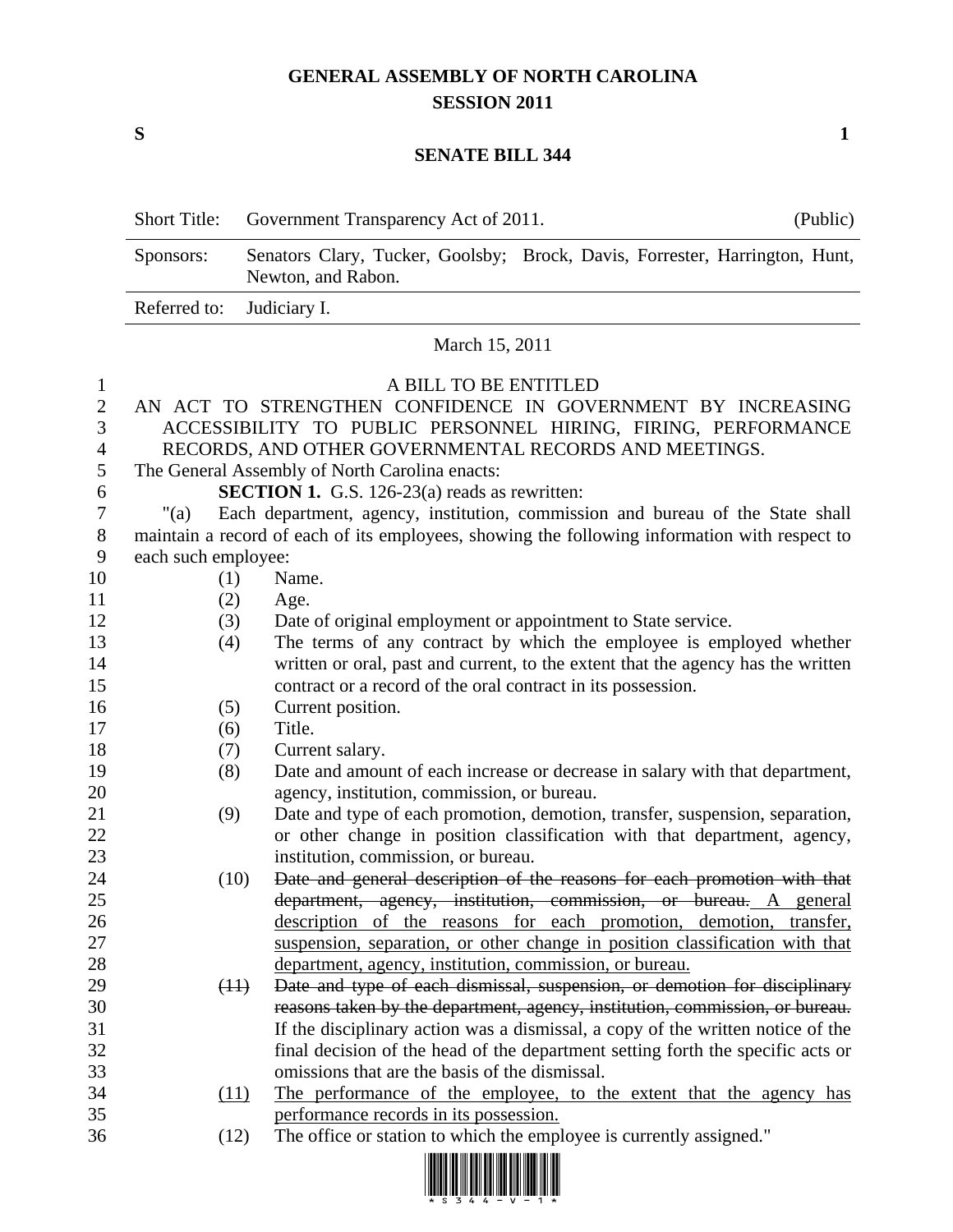## **GENERAL ASSEMBLY OF NORTH CAROLINA SESSION 2011**

**S 1**

## **SENATE BILL 344**

| <b>Short Title:</b>       | Government Transparency Act of 2011.                                                              | (Public) |  |  |
|---------------------------|---------------------------------------------------------------------------------------------------|----------|--|--|
| Sponsors:                 | Senators Clary, Tucker, Goolsby; Brock, Davis, Forrester, Harrington, Hunt,<br>Newton, and Rabon. |          |  |  |
| Referred to: Judiciary I. |                                                                                                   |          |  |  |
| March 15, 2011            |                                                                                                   |          |  |  |

## A BILL TO BE ENTITLED

|     | AN ACT TO STRENGTHEN CONFIDENCE IN GOVERNMENT BY INCREASING                                   |  |  |  |
|-----|-----------------------------------------------------------------------------------------------|--|--|--|
|     | ACCESSIBILITY TO PUBLIC PERSONNEL HIRING, FIRING, PERFORMANCE                                 |  |  |  |
| 4   | RECORDS, AND OTHER GOVERNMENTAL RECORDS AND MEETINGS.                                         |  |  |  |
|     | The General Assembly of North Carolina enacts:                                                |  |  |  |
| 6   | <b>SECTION 1.</b> G.S. 126-23(a) reads as rewritten:                                          |  |  |  |
|     | "(a) Each department, agency, institution, commission and bureau of the State shall           |  |  |  |
| 8   | maintain a record of each of its employees, showing the following information with respect to |  |  |  |
| - 9 | each such employee:                                                                           |  |  |  |
| 10  | Name.<br>(1)                                                                                  |  |  |  |
| 11  | (2)<br>Age.                                                                                   |  |  |  |

- (3) Date of original employment or appointment to State service.
- (4) The terms of any contract by which the employee is employed whether written or oral, past and current, to the extent that the agency has the written contract or a record of the oral contract in its possession.
- 16 (5) Current position.
- (6) Title.
- 18 (7) Current salary.
- (8) Date and amount of each increase or decrease in salary with that department, agency, institution, commission, or bureau.
- (9) Date and type of each promotion, demotion, transfer, suspension, separation, or other change in position classification with that department, agency, institution, commission, or bureau.
- (10) Date and general description of the reasons for each promotion with that department, agency, institution, commission, or bureau. A general description of the reasons for each promotion, demotion, transfer, suspension, separation, or other change in position classification with that department, agency, institution, commission, or bureau.
- (11) Date and type of each dismissal, suspension, or demotion for disciplinary reasons taken by the department, agency, institution, commission, or bureau. If the disciplinary action was a dismissal, a copy of the written notice of the final decision of the head of the department setting forth the specific acts or omissions that are the basis of the dismissal.
- (11) The performance of the employee, to the extent that the agency has performance records in its possession.
- (12) The office or station to which the employee is currently assigned."

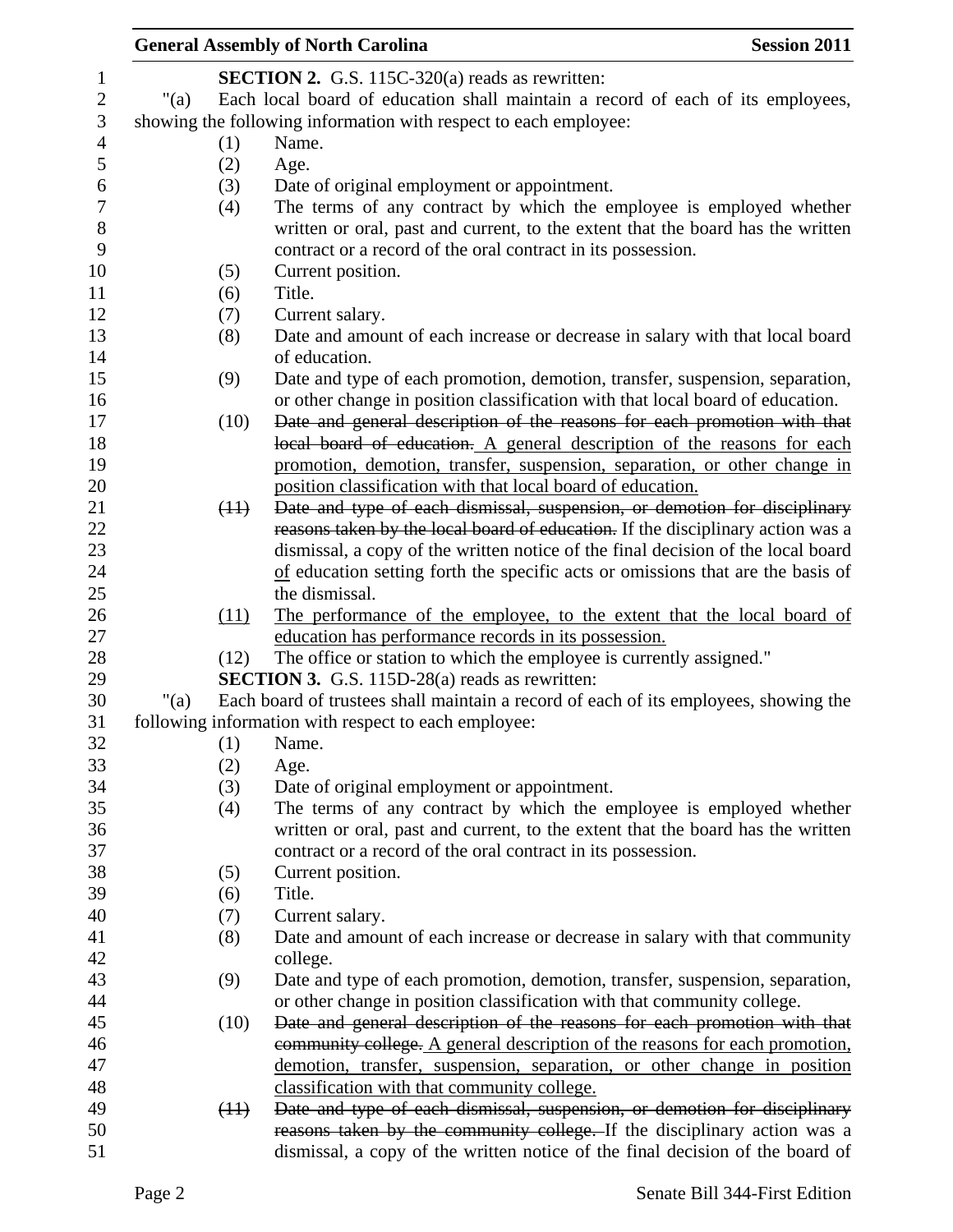|      |      | <b>General Assembly of North Carolina</b>                                                                                                                    | <b>Session 2011</b> |
|------|------|--------------------------------------------------------------------------------------------------------------------------------------------------------------|---------------------|
|      |      | SECTION 2. G.S. 115C-320(a) reads as rewritten:                                                                                                              |                     |
| "(a) |      | Each local board of education shall maintain a record of each of its employees,                                                                              |                     |
|      |      | showing the following information with respect to each employee:                                                                                             |                     |
|      | (1)  | Name.                                                                                                                                                        |                     |
|      |      |                                                                                                                                                              |                     |
|      | (2)  | Age.                                                                                                                                                         |                     |
|      | (3)  | Date of original employment or appointment.                                                                                                                  |                     |
|      | (4)  | The terms of any contract by which the employee is employed whether                                                                                          |                     |
|      |      | written or oral, past and current, to the extent that the board has the written                                                                              |                     |
|      |      | contract or a record of the oral contract in its possession.                                                                                                 |                     |
|      | (5)  | Current position.                                                                                                                                            |                     |
|      | (6)  | Title.                                                                                                                                                       |                     |
|      | (7)  | Current salary.                                                                                                                                              |                     |
|      | (8)  | Date and amount of each increase or decrease in salary with that local board                                                                                 |                     |
|      |      | of education.                                                                                                                                                |                     |
|      | (9)  | Date and type of each promotion, demotion, transfer, suspension, separation,                                                                                 |                     |
|      |      | or other change in position classification with that local board of education.                                                                               |                     |
|      | (10) | Date and general description of the reasons for each promotion with that                                                                                     |                     |
|      |      | local board of education. A general description of the reasons for each                                                                                      |                     |
|      |      | promotion, demotion, transfer, suspension, separation, or other change in                                                                                    |                     |
|      |      | position classification with that local board of education.                                                                                                  |                     |
|      | (11) | Date and type of each dismissal, suspension, or demotion for disciplinary<br>reasons taken by the local board of education. If the disciplinary action was a |                     |
|      |      | dismissal, a copy of the written notice of the final decision of the local board                                                                             |                     |
|      |      | of education setting forth the specific acts or omissions that are the basis of                                                                              |                     |
|      |      | the dismissal.                                                                                                                                               |                     |
|      | (11) | The performance of the employee, to the extent that the local board of                                                                                       |                     |
|      |      | education has performance records in its possession.                                                                                                         |                     |
|      | (12) | The office or station to which the employee is currently assigned."                                                                                          |                     |
|      |      | <b>SECTION 3.</b> G.S. 115D-28(a) reads as rewritten:                                                                                                        |                     |
| "(a) |      | Each board of trustees shall maintain a record of each of its employees, showing the                                                                         |                     |
|      |      | following information with respect to each employee:                                                                                                         |                     |
|      | (1)  | Name.                                                                                                                                                        |                     |
|      | (2)  | Age.                                                                                                                                                         |                     |
|      | (3)  | Date of original employment or appointment.                                                                                                                  |                     |
|      | (4)  | The terms of any contract by which the employee is employed whether                                                                                          |                     |
|      |      | written or oral, past and current, to the extent that the board has the written                                                                              |                     |
|      |      | contract or a record of the oral contract in its possession.                                                                                                 |                     |
|      | (5)  | Current position.                                                                                                                                            |                     |
|      | (6)  | Title.                                                                                                                                                       |                     |
|      | (7)  | Current salary.                                                                                                                                              |                     |
|      | (8)  | Date and amount of each increase or decrease in salary with that community                                                                                   |                     |
|      |      | college.                                                                                                                                                     |                     |
|      | (9)  | Date and type of each promotion, demotion, transfer, suspension, separation,                                                                                 |                     |
|      |      | or other change in position classification with that community college.                                                                                      |                     |
|      | (10) | Date and general description of the reasons for each promotion with that                                                                                     |                     |
|      |      | community college. A general description of the reasons for each promotion,                                                                                  |                     |
|      |      | demotion, transfer, suspension, separation, or other change in position                                                                                      |                     |
|      |      | classification with that community college.                                                                                                                  |                     |
|      | (11) | Date and type of each dismissal, suspension, or demotion for disciplinary                                                                                    |                     |
|      |      | reasons taken by the community college. If the disciplinary action was a                                                                                     |                     |
|      |      | dismissal, a copy of the written notice of the final decision of the board of                                                                                |                     |
|      |      |                                                                                                                                                              |                     |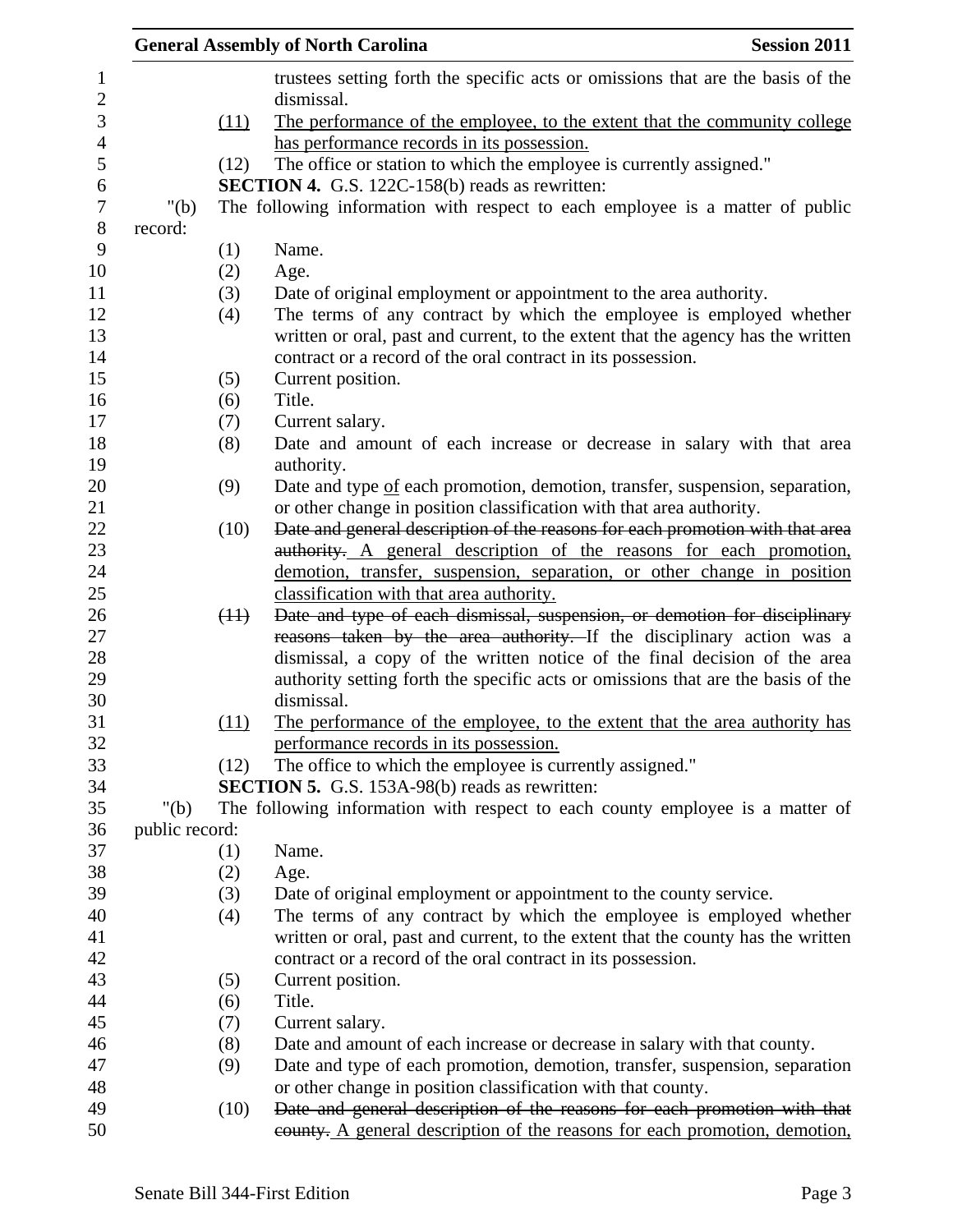|                |      | <b>Session 2011</b><br><b>General Assembly of North Carolina</b>                                                                                 |
|----------------|------|--------------------------------------------------------------------------------------------------------------------------------------------------|
|                |      | trustees setting forth the specific acts or omissions that are the basis of the<br>dismissal.                                                    |
|                | (11) | The performance of the employee, to the extent that the community college                                                                        |
|                |      | has performance records in its possession.                                                                                                       |
|                | (12) | The office or station to which the employee is currently assigned."                                                                              |
|                |      | <b>SECTION 4.</b> G.S. 122C-158(b) reads as rewritten:                                                                                           |
| " $(b)$        |      | The following information with respect to each employee is a matter of public                                                                    |
| record:        |      |                                                                                                                                                  |
|                | (1)  | Name.                                                                                                                                            |
|                | (2)  | Age.                                                                                                                                             |
|                | (3)  | Date of original employment or appointment to the area authority.                                                                                |
|                | (4)  | The terms of any contract by which the employee is employed whether                                                                              |
|                |      | written or oral, past and current, to the extent that the agency has the written<br>contract or a record of the oral contract in its possession. |
|                | (5)  | Current position.                                                                                                                                |
|                | (6)  | Title.                                                                                                                                           |
|                | (7)  | Current salary.                                                                                                                                  |
|                | (8)  | Date and amount of each increase or decrease in salary with that area                                                                            |
|                |      | authority.                                                                                                                                       |
|                | (9)  | Date and type of each promotion, demotion, transfer, suspension, separation,                                                                     |
|                |      | or other change in position classification with that area authority.                                                                             |
|                | (10) | Date and general description of the reasons for each promotion with that area                                                                    |
|                |      | authority. A general description of the reasons for each promotion,                                                                              |
|                |      | demotion, transfer, suspension, separation, or other change in position                                                                          |
|                |      | classification with that area authority.                                                                                                         |
|                | (11) | Date and type of each dismissal, suspension, or demotion for disciplinary                                                                        |
|                |      | reasons taken by the area authority. If the disciplinary action was a                                                                            |
|                |      | dismissal, a copy of the written notice of the final decision of the area                                                                        |
|                |      | authority setting forth the specific acts or omissions that are the basis of the                                                                 |
|                |      | dismissal.                                                                                                                                       |
|                | (11) | The performance of the employee, to the extent that the area authority has                                                                       |
|                |      | performance records in its possession.                                                                                                           |
|                | (12) | The office to which the employee is currently assigned."                                                                                         |
|                |      | <b>SECTION 5.</b> G.S. 153A-98(b) reads as rewritten:                                                                                            |
| " $(b)$        |      | The following information with respect to each county employee is a matter of                                                                    |
| public record: |      |                                                                                                                                                  |
|                | (1)  | Name.                                                                                                                                            |
|                | (2)  | Age.                                                                                                                                             |
|                | (3)  | Date of original employment or appointment to the county service.                                                                                |
|                | (4)  | The terms of any contract by which the employee is employed whether                                                                              |
|                |      | written or oral, past and current, to the extent that the county has the written<br>contract or a record of the oral contract in its possession. |
|                | (5)  | Current position.                                                                                                                                |
|                | (6)  | Title.                                                                                                                                           |
|                | (7)  | Current salary.                                                                                                                                  |
|                | (8)  | Date and amount of each increase or decrease in salary with that county.                                                                         |
|                | (9)  | Date and type of each promotion, demotion, transfer, suspension, separation                                                                      |
|                |      | or other change in position classification with that county.                                                                                     |
|                | (10) | Date and general description of the reasons for each promotion with that                                                                         |
|                |      | eounty. A general description of the reasons for each promotion, demotion,                                                                       |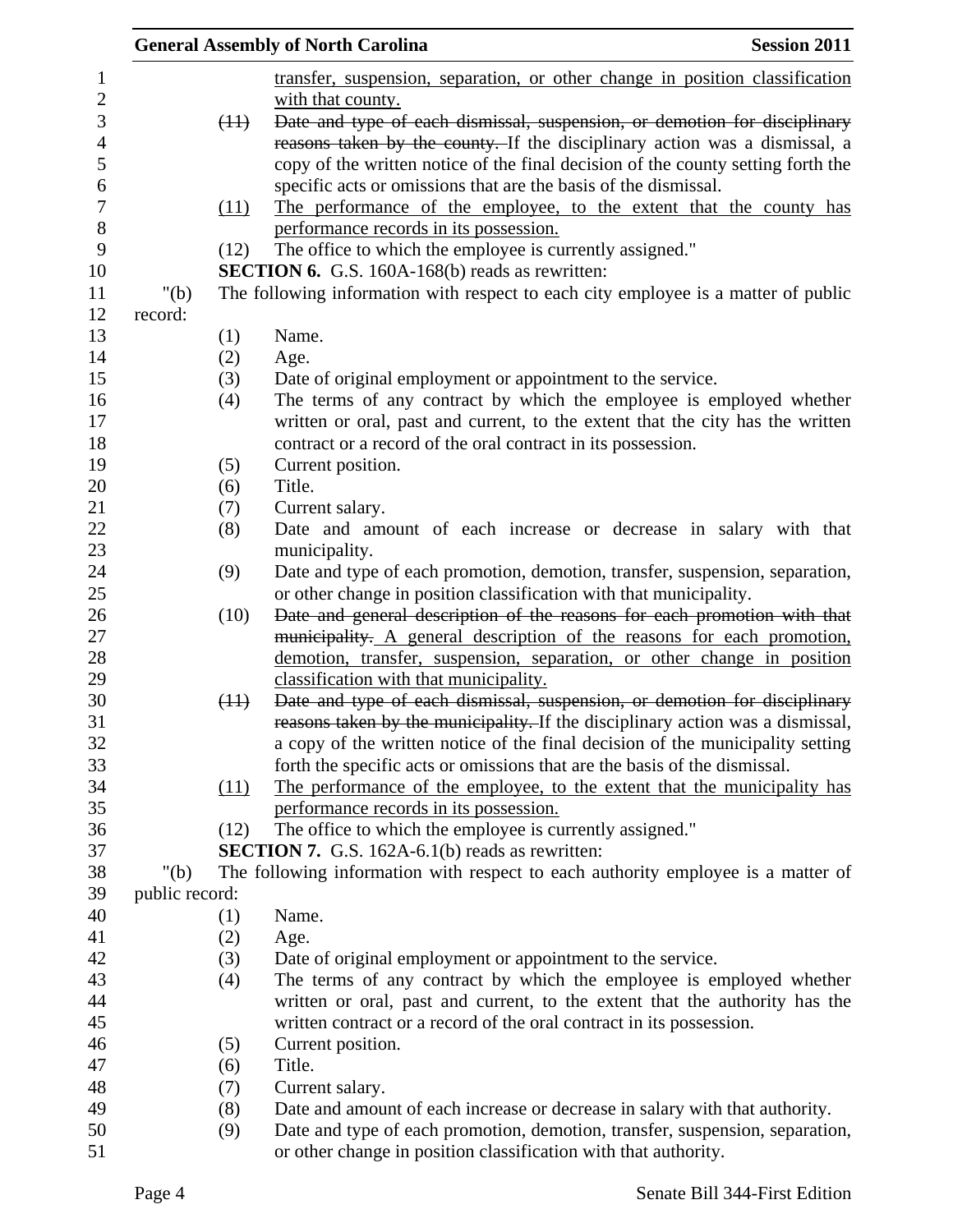|                |      | <b>General Assembly of North Carolina</b>                                                                                                      | <b>Session 2011</b> |
|----------------|------|------------------------------------------------------------------------------------------------------------------------------------------------|---------------------|
|                |      | transfer, suspension, separation, or other change in position classification                                                                   |                     |
|                |      | with that county.                                                                                                                              |                     |
|                | (11) | Date and type of each dismissal, suspension, or demotion for disciplinary                                                                      |                     |
|                |      | reasons taken by the county. If the disciplinary action was a dismissal, a                                                                     |                     |
|                |      | copy of the written notice of the final decision of the county setting forth the                                                               |                     |
|                |      | specific acts or omissions that are the basis of the dismissal.                                                                                |                     |
|                | (11) | The performance of the employee, to the extent that the county has                                                                             |                     |
|                |      | performance records in its possession.                                                                                                         |                     |
|                | (12) | The office to which the employee is currently assigned."                                                                                       |                     |
|                |      | <b>SECTION 6.</b> G.S. 160A-168(b) reads as rewritten:                                                                                         |                     |
| " $(b)$        |      | The following information with respect to each city employee is a matter of public                                                             |                     |
| record:        |      |                                                                                                                                                |                     |
|                | (1)  | Name.                                                                                                                                          |                     |
|                | (2)  | Age.                                                                                                                                           |                     |
|                | (3)  | Date of original employment or appointment to the service.                                                                                     |                     |
|                | (4)  | The terms of any contract by which the employee is employed whether                                                                            |                     |
|                |      | written or oral, past and current, to the extent that the city has the written                                                                 |                     |
|                |      | contract or a record of the oral contract in its possession.                                                                                   |                     |
|                | (5)  | Current position.                                                                                                                              |                     |
|                | (6)  | Title.                                                                                                                                         |                     |
|                | (7)  | Current salary.                                                                                                                                |                     |
|                | (8)  | Date and amount of each increase or decrease in salary with that                                                                               |                     |
|                |      | municipality.                                                                                                                                  |                     |
|                | (9)  | Date and type of each promotion, demotion, transfer, suspension, separation,                                                                   |                     |
|                | (10) | or other change in position classification with that municipality.<br>Date and general description of the reasons for each promotion with that |                     |
|                |      | municipality. A general description of the reasons for each promotion,                                                                         |                     |
|                |      | demotion, transfer, suspension, separation, or other change in position                                                                        |                     |
|                |      | classification with that municipality.                                                                                                         |                     |
|                | (11) | Date and type of each dismissal, suspension, or demotion for disciplinary                                                                      |                     |
|                |      | reasons taken by the municipality. If the disciplinary action was a dismissal,                                                                 |                     |
|                |      | a copy of the written notice of the final decision of the municipality setting                                                                 |                     |
|                |      | forth the specific acts or omissions that are the basis of the dismissal.                                                                      |                     |
|                | (11) | The performance of the employee, to the extent that the municipality has                                                                       |                     |
|                |      | performance records in its possession.                                                                                                         |                     |
|                | (12) | The office to which the employee is currently assigned."                                                                                       |                     |
|                |      | <b>SECTION 7.</b> G.S. 162A-6.1(b) reads as rewritten:                                                                                         |                     |
| " $(b)$        |      | The following information with respect to each authority employee is a matter of                                                               |                     |
| public record: |      |                                                                                                                                                |                     |
|                | (1)  | Name.                                                                                                                                          |                     |
|                | (2)  | Age.                                                                                                                                           |                     |
|                | (3)  | Date of original employment or appointment to the service.                                                                                     |                     |
|                | (4)  | The terms of any contract by which the employee is employed whether                                                                            |                     |
|                |      | written or oral, past and current, to the extent that the authority has the                                                                    |                     |
|                |      | written contract or a record of the oral contract in its possession.                                                                           |                     |
|                | (5)  | Current position.                                                                                                                              |                     |
|                | (6)  | Title.                                                                                                                                         |                     |
|                | (7)  | Current salary.                                                                                                                                |                     |
|                | (8)  | Date and amount of each increase or decrease in salary with that authority.                                                                    |                     |
|                | (9)  | Date and type of each promotion, demotion, transfer, suspension, separation,                                                                   |                     |
|                |      | or other change in position classification with that authority.                                                                                |                     |